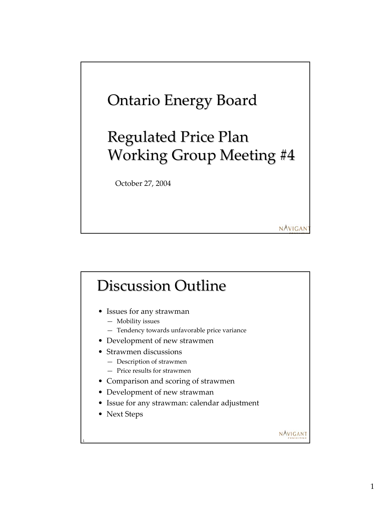

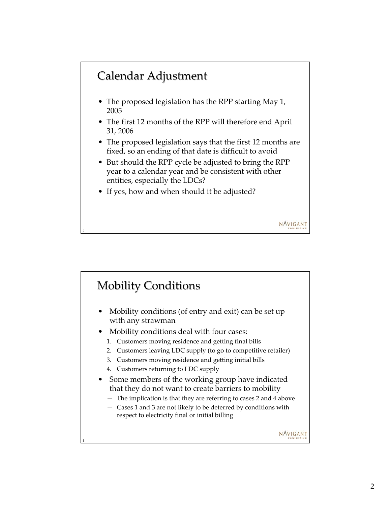### Calendar Adjustment

2

- The proposed legislation has the RPP starting May 1, 2005
- The first 12 months of the RPP will therefore end April 31, 2006
- The proposed legislation says that the first 12 months are fixed, so an ending of that date is difficult to avoid

- But should the RPP cycle be adjusted to bring the RPP year to a calendar year and be consistent with other entities, especially the LDCs?
- If yes, how and when should it be adjusted?

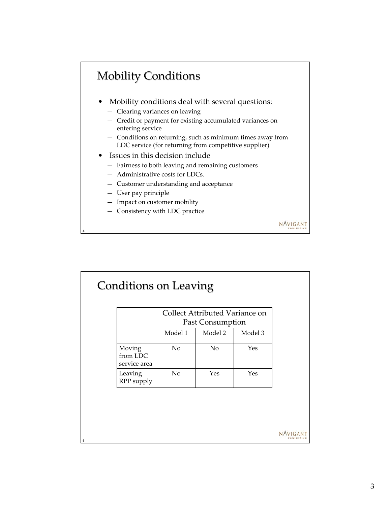# **Mobility Conditions**

- Mobility conditions deal with several questions:
	- Clearing variances on leaving
	- Credit or payment for existing accumulated variances on entering service
	- Conditions on returning, such as minimum times away from LDC service (for returning from competitive supplier)
- Issues in this decision include
	- Fairness to both leaving and remaining customers
	- Administrative costs for LDCs.
	- Customer understanding and acceptance
	- User pay principle

4

5

- Impact on customer mobility
- Consistency with LDC practice

|                                    | Collect Attributed Variance on<br>Past Consumption |         |            |
|------------------------------------|----------------------------------------------------|---------|------------|
|                                    | Model 1                                            | Model 2 | Model 3    |
| Moving<br>from LDC<br>service area | No                                                 | No      | <b>Yes</b> |
| Leaving<br>RPP supply              | No                                                 | Yes     | Yes        |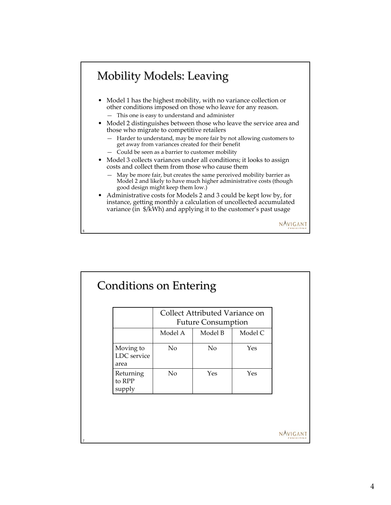## Mobility Models: Leaving

- Model 1 has the highest mobility, with no variance collection or other conditions imposed on those who leave for any reason. — This one is easy to understand and administer
- Model 2 distinguishes between those who leave the service area and those who migrate to competitive retailers
	- Harder to understand, may be more fair by not allowing customers to get away from variances created for their benefit
	- Could be seen as a barrier to customer mobility

6

7

- Model 3 collects variances under all conditions; it looks to assign costs and collect them from those who cause them
	- May be more fair, but creates the same perceived mobility barrier as Model 2 and likely to have much higher administrative costs (though good design might keep them low.)
- Administrative costs for Models 2 and 3 could be kept low by, for instance, getting monthly a calculation of uncollected accumulated variance (in \$/kWh) and applying it to the customer's past usage

|                                  | Collect Attributed Variance on |         |         |
|----------------------------------|--------------------------------|---------|---------|
|                                  | <b>Future Consumption</b>      |         |         |
|                                  | Model A                        | Model B | Model C |
| Moving to<br>LDC service<br>area | N <sub>o</sub>                 | No      | Yes     |
| Returning<br>to RPP<br>supply    | No                             | Yes     | Yes     |

NAVIGANT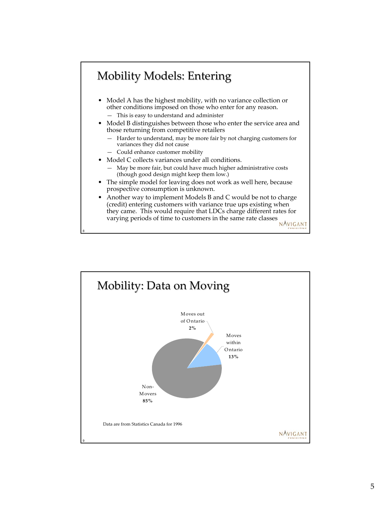### Mobility Models: Entering

- Model A has the highest mobility, with no variance collection or other conditions imposed on those who enter for any reason. — This is easy to understand and administer
- Model B distinguishes between those who enter the service area and those returning from competitive retailers
	- Harder to understand, may be more fair by not charging customers for variances they did not cause
	- Could enhance customer mobility

8

- Model C collects variances under all conditions.
	- May be more fair, but could have much higher administrative costs (though good design might keep them low.)
- The simple model for leaving does not work as well here, because prospective consumption is unknown.
- Another way to implement Models B and C would be not to charge (credit) entering customers with variance true ups existing when they came. This would require that LDCs charge different rates for varying periods of time to customers in the same rate classes NAVIGANT

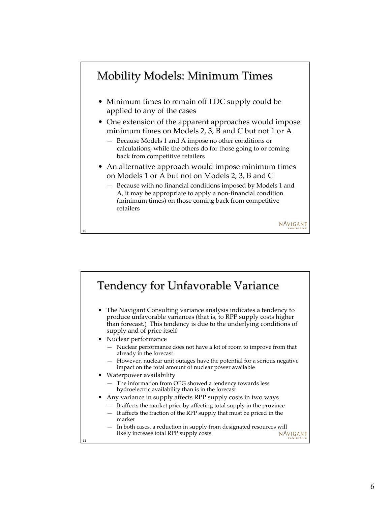

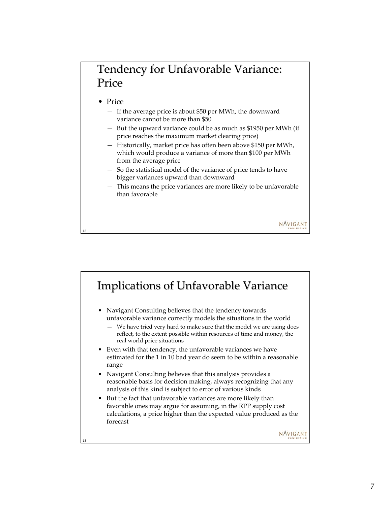#### Tendency for Unfavorable Variance: Price

• Price

12

- If the average price is about \$50 per MWh, the downward variance cannot be more than \$50
- But the upward variance could be as much as \$1950 per MWh (if price reaches the maximum market clearing price)
- Historically, market price has often been above \$150 per MWh, which would produce a variance of more than \$100 per MWh from the average price
- So the statistical model of the variance of price tends to have bigger variances upward than downward
- This means the price variances are more likely to be unfavorable than favorable

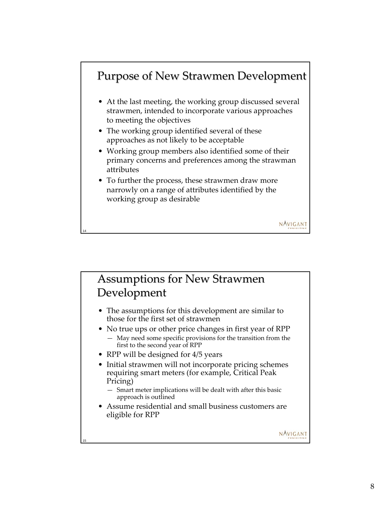### Purpose of New Strawmen Development

- At the last meeting, the working group discussed several strawmen, intended to incorporate various approaches to meeting the objectives
- The working group identified several of these approaches as not likely to be acceptable
- Working group members also identified some of their primary concerns and preferences among the strawman attributes

NAVIGANT

NAVIGANT

• To further the process, these strawmen draw more narrowly on a range of attributes identified by the working group as desirable

Assumptions for New Strawmen Development

- The assumptions for this development are similar to those for the first set of strawmen
- No true ups or other price changes in first year of RPP — May need some specific provisions for the transition from the first to the second year of RPP
- RPP will be designed for 4/5 years

14

15

- Initial strawmen will not incorporate pricing schemes requiring smart meters (for example, Critical Peak Pricing)
	- Smart meter implications will be dealt with after this basic approach is outlined
- Assume residential and small business customers are eligible for RPP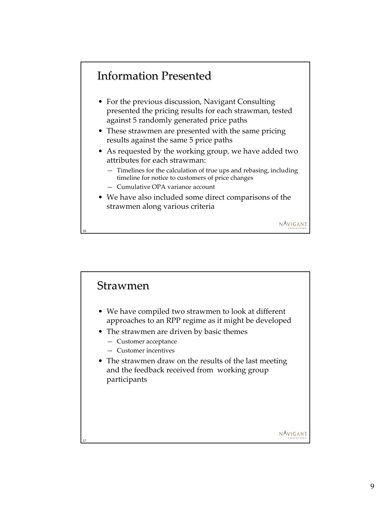#### **Information Presented**

- For the previous discussion, Navigant Consulting presented the pricing results for each strawman, tested against 5 randomly generated price paths
- These strawmen are presented with the same pricing results against the same 5 price paths
- As requested by the working group, we have added two attributes for each strawman:
	- Timelines for the calculation of true ups and rebasing, including timeline for notice to customers of price changes
	- Cumulative OPA variance account

16

• We have also included some direct comparisons of the strawmen along various criteria



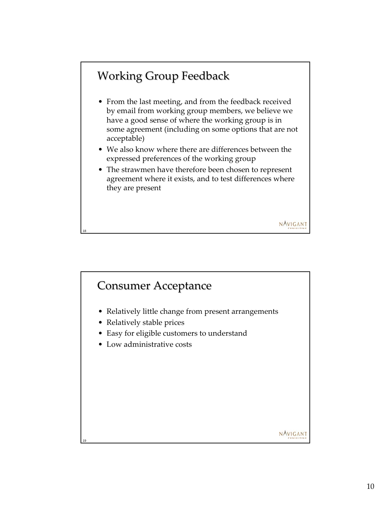# Working Group Feedback

18

- From the last meeting, and from the feedback received by email from working group members, we believe we have a good sense of where the working group is in some agreement (including on some options that are not acceptable)
- We also know where there are differences between the expressed preferences of the working group
- The strawmen have therefore been chosen to represent agreement where it exists, and to test differences where they are present

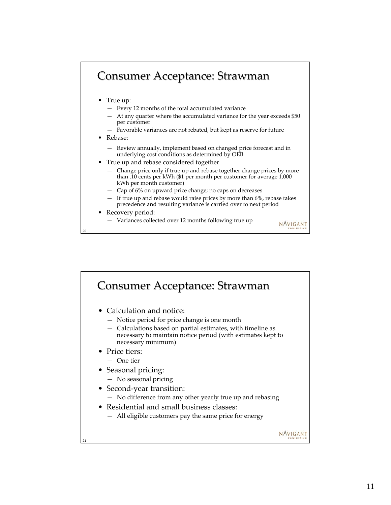#### Consumer Acceptance: Strawman

- True up:
	- Every 12 months of the total accumulated variance
	- At any quarter where the accumulated variance for the year exceeds \$50 per customer
	- Favorable variances are not rebated, but kept as reserve for future
- Rebase:
	- Review annually, implement based on changed price forecast and in underlying cost conditions as determined by OEB
- True up and rebase considered together
	- Change price only if true up and rebase together change prices by more than .10 cents per kWh (\$1 per month per customer for average 1,000 kWh per month customer)
	- Cap of 6% on upward price change; no caps on decreases
	- If true up and rebase would raise prices by more than 6%, rebase takes precedence and resulting variance is carried over to next period

NAVIGANT

#### • Recovery period:

20

— Variances collected over 12 months following true up

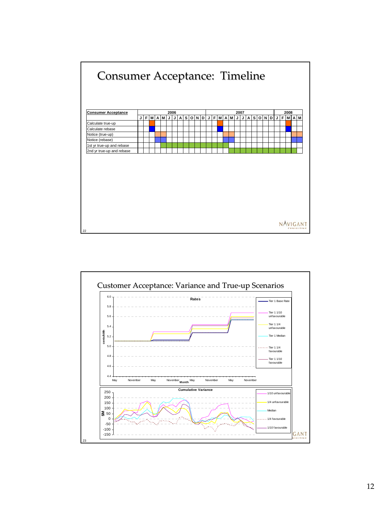

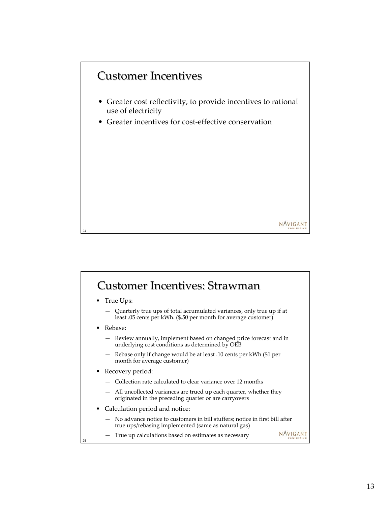

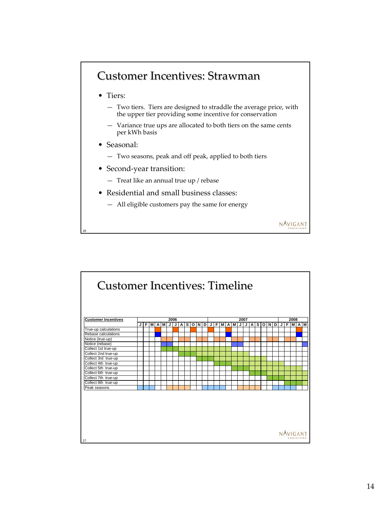#### Customer Incentives: Strawman

- Tiers:
	- Two tiers. Tiers are designed to straddle the average price, with the upper tier providing some incentive for conservation

NAVIGANT

- Variance true ups are allocated to both tiers on the same cents per kWh basis
- Seasonal:

26

- Two seasons, peak and off peak, applied to both tiers
- Second-year transition:
	- Treat like an annual true up / rebase
- Residential and small business classes:
	- All eligible customers pay the same for energy

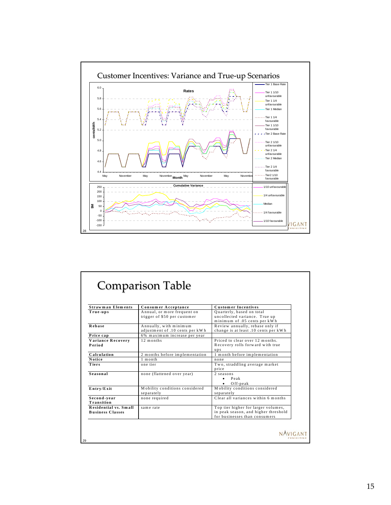

| <b>Strawman Elements</b>                         |                                                           | <b>Customer Incentives</b>                                                                                   |
|--------------------------------------------------|-----------------------------------------------------------|--------------------------------------------------------------------------------------------------------------|
| True-ups                                         | Consumer Acceptance<br>Annual, or more frequent on        | Quarterly, based on total                                                                                    |
|                                                  | trigger of \$50 per customer                              | uncollected variance. True up<br>minimum of .05 cents per kWh                                                |
| Rebase                                           | Annually, with minimum<br>adjustment of .10 cents per kWh | Review annually, rebase only if<br>change is at least .10 cents per kWh                                      |
| Price cap                                        | 6% maximum increase per year                              |                                                                                                              |
| Variance Recovery<br>Period                      | 12 months                                                 | Priced to clear over 12 months.<br>Recovery rolls forward with true<br>ups                                   |
| Calculation                                      | 2 months before implementation                            | 1 month before implementation                                                                                |
| <b>Notice</b>                                    | $1$ month                                                 | none                                                                                                         |
| Tiers                                            | one tier                                                  | Two, straddling average market<br>price                                                                      |
| Seasonal                                         | none (flattened over year)                                | 2 seasons<br>$\bullet$ Peak<br>$O$ ff-peak                                                                   |
| Entry/Exit                                       | Mobility conditions considered<br>separately              | Mobility conditions considered<br>separately                                                                 |
| Second-year<br>Transition                        | none required                                             | Clear all variances within 6 months                                                                          |
| Residential vs. Small<br><b>Business Classes</b> | same rate                                                 | Top tier higher for larger volumes,<br>in peak season, and higher threshold<br>for businesses than consumers |